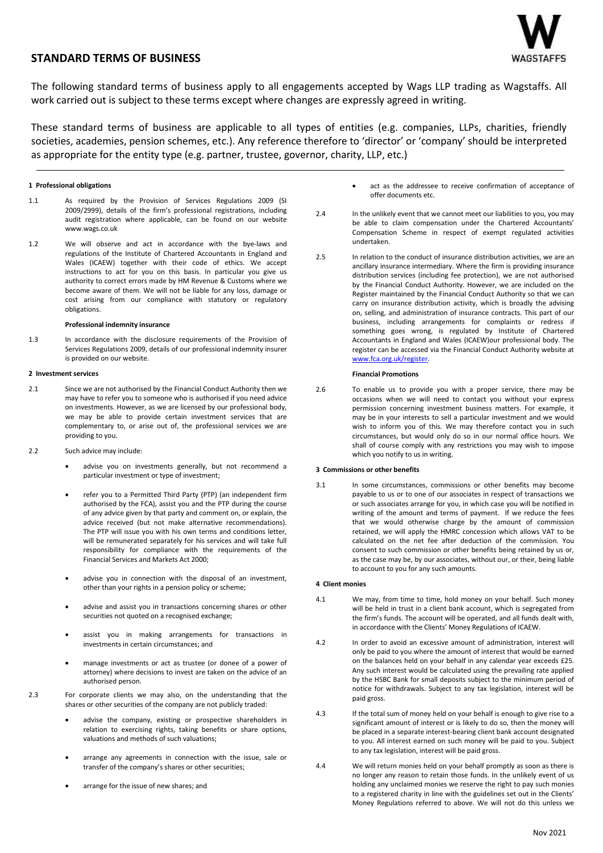# **STANDARD TERMS OF BUSINESS**

The following standard terms of business apply to all engagements accepted by Wags LLP trading as Wagstaffs. All work carried out is subject to these terms except where changes are expressly agreed in writing.

These standard terms of business are applicable to all types of entities (e.g. companies, LLPs, charities, friendly societies, academies, pension schemes, etc.). Any reference therefore to 'director' or 'company' should be interpreted as appropriate for the entity type (e.g. partner, trustee, governor, charity, LLP, etc.)

### **1 Professional obligations**

- 1.1 As required by the Provision of Services Regulations 2009 (SI 2009/2999), details of the firm's professional registrations, including audit registration where applicable, can be found on our website www.wags.co.uk
- 1.2 We will observe and act in accordance with the bye-laws and regulations of the Institute of Chartered Accountants in England and Wales (ICAEW) together with their code of ethics. We accept instructions to act for you on this basis. In particular you give us authority to correct errors made by HM Revenue & Customs where we become aware of them. We will not be liable for any loss, damage or cost arising from our compliance with statutory or regulatory obligations.

### **Professional indemnity insurance**

1.3 In accordance with the disclosure requirements of the Provision of Services Regulations 2009, details of our professional indemnity insurer is provided on our website.

### **2 Investment services**

- 2.1 Since we are not authorised by the Financial Conduct Authority then we may have to refer you to someone who is authorised if you need advice on investments. However, as we are licensed by our professional body, we may be able to provide certain investment services that are complementary to, or arise out of, the professional services we are providing to you.
- 2.2 Such advice may include:
	- advise you on investments generally, but not recommend a particular investment or type of investment;
	- refer you to a Permitted Third Party (PTP) (an independent firm authorised by the FCA), assist you and the PTP during the course of any advice given by that party and comment on, or explain, the advice received (but not make alternative recommendations). The PTP will issue you with his own terms and conditions letter, will be remunerated separately for his services and will take full responsibility for compliance with the requirements of the Financial Services and Markets Act 2000;
	- advise you in connection with the disposal of an investment, other than your rights in a pension policy or scheme;
	- advise and assist you in transactions concerning shares or other securities not quoted on a recognised exchange;
	- assist you in making arrangements for transactions in investments in certain circumstances; and
	- manage investments or act as trustee (or donee of a power of attorney) where decisions to invest are taken on the advice of an authorised person.
- 2.3 For corporate clients we may also, on the understanding that the shares or other securities of the company are not publicly traded:
	- advise the company, existing or prospective shareholders in relation to exercising rights, taking benefits or share options, valuations and methods of such valuations;
	- arrange any agreements in connection with the issue, sale or transfer of the company's shares or other securities;
	- arrange for the issue of new shares; and
- act as the addressee to receive confirmation of acceptance of offer documents etc.
- 2.4 In the unlikely event that we cannot meet our liabilities to you, you may be able to claim compensation under the Chartered Accountants' Compensation Scheme in respect of exempt regulated activities undertaken.
- 2.5 In relation to the conduct of insurance distribution activities, we are an ancillary insurance intermediary. Where the firm is providing insurance distribution services (including fee protection), we are not authorised by the Financial Conduct Authority. However, we are included on the Register maintained by the Financial Conduct Authority so that we can carry on insurance distribution activity, which is broadly the advising on, selling, and administration of insurance contracts. This part of our business, including arrangements for complaints or redress if something goes wrong, is regulated by Institute of Chartered Accountants in England and Wales (ICAEW)our professional body. The register can be accessed via the Financial Conduct Authority website at [www.fca.org.uk/register.](file://///wags.local/Wagstaffs/Secs/Helen/TOB/www.fca.org.uk/register)

### **Financial Promotions**

2.6 To enable us to provide you with a proper service, there may be occasions when we will need to contact you without your express permission concerning investment business matters. For example, it may be in your interests to sell a particular investment and we would wish to inform you of this. We may therefore contact you in such circumstances, but would only do so in our normal office hours. We shall of course comply with any restrictions you may wish to impose which you notify to us in writing.

### **3 Commissions or other benefits**

3.1 In some circumstances, commissions or other benefits may become payable to us or to one of our associates in respect of transactions we or such associates arrange for you, in which case you will be notified in writing of the amount and terms of payment. If we reduce the fees that we would otherwise charge by the amount of commission retained, we will apply the HMRC concession which allows VAT to be calculated on the net fee after deduction of the commission. You consent to such commission or other benefits being retained by us or, as the case may be, by our associates, without our, or their, being liable to account to you for any such amounts.

### **4 Client monies**

- 4.1 We may, from time to time, hold money on your behalf. Such money will be held in trust in a client bank account, which is segregated from the firm's funds. The account will be operated, and all funds dealt with, in accordance with the Clients' Money Regulations of ICAEW.
- 4.2 In order to avoid an excessive amount of administration, interest will only be paid to you where the amount of interest that would be earned on the balances held on your behalf in any calendar year exceeds £25. Any such interest would be calculated using the prevailing rate applied by the HSBC Bank for small deposits subject to the minimum period of notice for withdrawals. Subject to any tax legislation, interest will be paid gross.
- 4.3 If the total sum of money held on your behalf is enough to give rise to a significant amount of interest or is likely to do so, then the money will be placed in a separate interest-bearing client bank account designated to you. All interest earned on such money will be paid to you. Subject to any tax legislation, interest will be paid gross.
- 4.4 We will return monies held on your behalf promptly as soon as there is no longer any reason to retain those funds. In the unlikely event of us holding any unclaimed monies we reserve the right to pay such monies to a registered charity in line with the guidelines set out in the Clients' Money Regulations referred to above. We will not do this unless we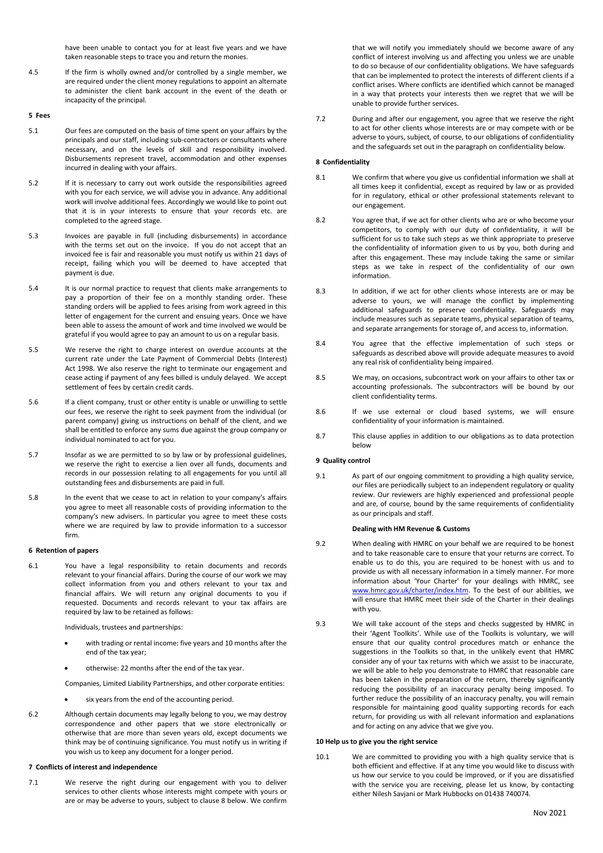have been unable to contact you for at least five years and we have taken reasonable steps to trace you and return the monies.

4.5 If the firm is wholly owned and/or controlled by a single member, we are required under the client money regulations to appoint an alternate to administer the client bank account in the event of the death or incapacity of the principal.

**5 Fees**

- 5.1 Our fees are computed on the basis of time spent on your affairs by the principals and our staff, including sub-contractors or consultants where necessary, and on the levels of skill and responsibility involved. Disbursements represent travel, accommodation and other expenses incurred in dealing with your affairs.
- 5.2 If it is necessary to carry out work outside the responsibilities agreed with you for each service, we will advise you in advance. Any additional work will involve additional fees. Accordingly we would like to point out that it is in your interests to ensure that your records etc. are completed to the agreed stage.
- 5.3 Invoices are payable in full (including disbursements) in accordance with the terms set out on the invoice. If you do not accept that an invoiced fee is fair and reasonable you must notify us within 21 days of receipt, failing which you will be deemed to have accepted that payment is due.
- 5.4 It is our normal practice to request that clients make arrangements to pay a proportion of their fee on a monthly standing order. These standing orders will be applied to fees arising from work agreed in this letter of engagement for the current and ensuing years. Once we have been able to assess the amount of work and time involved we would be grateful if you would agree to pay an amount to us on a regular basis.
- 5.5 We reserve the right to charge interest on overdue accounts at the current rate under the Late Payment of Commercial Debts (Interest) Act 1998. We also reserve the right to terminate our engagement and cease acting if payment of any fees billed is unduly delayed. We accept settlement of fees by certain credit cards.
- 5.6 If a client company, trust or other entity is unable or unwilling to settle our fees, we reserve the right to seek payment from the individual (or parent company) giving us instructions on behalf of the client, and we shall be entitled to enforce any sums due against the group company or individual nominated to act for you.
- 5.7 Insofar as we are permitted to so by law or by professional guidelines, we reserve the right to exercise a lien over all funds, documents and records in our possession relating to all engagements for you until all outstanding fees and disbursements are paid in full.
- 5.8 In the event that we cease to act in relation to your company's affairs you agree to meet all reasonable costs of providing information to the company's new advisers. In particular you agree to meet these costs where we are required by law to provide information to a successor firm.

### **6 Retention of papers**

6.1 You have a legal responsibility to retain documents and records relevant to your financial affairs. During the course of our work we may collect information from you and others relevant to your tax and financial affairs. We will return any original documents to you if requested. Documents and records relevant to your tax affairs are required by law to be retained as follows:

Individuals, trustees and partnerships:

- with trading or rental income: five years and 10 months after the end of the tax year;
- otherwise: 22 months after the end of the tax year.

Companies, Limited Liability Partnerships, and other corporate entities:

- six years from the end of the accounting period.
- 6.2 Although certain documents may legally belong to you, we may destroy correspondence and other papers that we store electronically or otherwise that are more than seven years old, except documents we think may be of continuing significance. You must notify us in writing if you wish us to keep any document for a longer period.

### **7 Conflicts of interest and independence**

7.1 We reserve the right during our engagement with you to deliver services to other clients whose interests might compete with yours or are or may be adverse to yours, subject to clause 8 below. We confirm

that we will notify you immediately should we become aware of any conflict of interest involving us and affecting you unless we are unable to do so because of our confidentiality obligations. We have safeguards that can be implemented to protect the interests of different clients if a conflict arises. Where conflicts are identified which cannot be managed in a way that protects your interests then we regret that we will be unable to provide further services.

7.2 During and after our engagement, you agree that we reserve the right to act for other clients whose interests are or may compete with or be adverse to yours, subject, of course, to our obligations of confidentiality and the safeguards set out in the paragraph on confidentiality below.

### **8 Confidentiality**

- 8.1 We confirm that where you give us confidential information we shall at all times keep it confidential, except as required by law or as provided for in regulatory, ethical or other professional statements relevant to our engagement.
- 8.2 You agree that, if we act for other clients who are or who become your competitors, to comply with our duty of confidentiality, it will be sufficient for us to take such steps as we think appropriate to preserve the confidentiality of information given to us by you, both during and after this engagement. These may include taking the same or similar steps as we take in respect of the confidentiality of our own information.
- 8.3 In addition, if we act for other clients whose interests are or may be adverse to yours, we will manage the conflict by implementing additional safeguards to preserve confidentiality. Safeguards may include measures such as separate teams, physical separation of teams, and separate arrangements for storage of, and access to, information.
- 8.4 You agree that the effective implementation of such steps or safeguards as described above will provide adequate measures to avoid any real risk of confidentiality being impaired.
- 8.5 We may, on occasions, subcontract work on your affairs to other tax or accounting professionals. The subcontractors will be bound by our client confidentiality terms.
- 8.6 If we use external or cloud based systems, we will ensure confidentiality of your information is maintained.
- 8.7 This clause applies in addition to our obligations as to data protection below

### **9 Quality control**

9.1 As part of our ongoing commitment to providing a high quality service, our files are periodically subject to an independent regulatory or quality review. Our reviewers are highly experienced and professional people and are, of course, bound by the same requirements of confidentiality as our principals and staff.

### **Dealing with HM Revenue & Customs**

- 9.2 When dealing with HMRC on your behalf we are required to be honest and to take reasonable care to ensure that your returns are correct. To enable us to do this, you are required to be honest with us and to provide us with all necessary information in a timely manner. For more information about 'Your Charter' for your dealings with HMRC, see [www.hmrc.gov.uk/charter/index.htm.](http://www.hmrc.gov.uk/charter/index.htm) To the best of our abilities, we will ensure that HMRC meet their side of the Charter in their dealings with you.
- 9.3 We will take account of the steps and checks suggested by HMRC in their 'Agent Toolkits'. While use of the Toolkits is voluntary, we will ensure that our quality control procedures match or enhance the suggestions in the Toolkits so that, in the unlikely event that HMRC consider any of your tax returns with which we assist to be inaccurate, we will be able to help you demonstrate to HMRC that reasonable care has been taken in the preparation of the return, thereby significantly reducing the possibility of an inaccuracy penalty being imposed. To further reduce the possibility of an inaccuracy penalty, you will remain responsible for maintaining good quality supporting records for each return, for providing us with all relevant information and explanations and for acting on any advice that we give you.

### **10 Help us to give you the right service**

10.1 We are committed to providing you with a high quality service that is both efficient and effective. If at any time you would like to discuss with us how our service to you could be improved, or if you are dissatisfied with the service you are receiving, please let us know, by contacting either Nilesh Savjani or Mark Hubbocks on 01438 740074.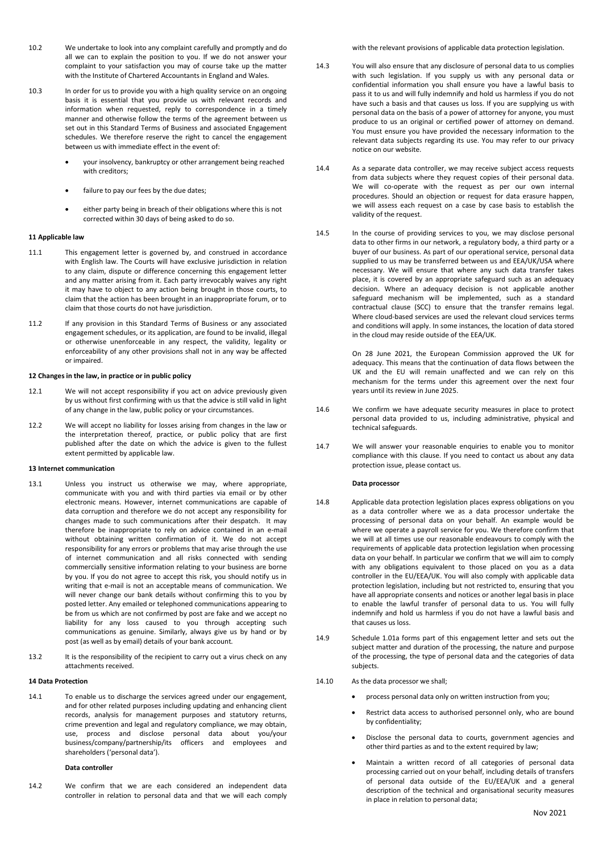- 10.2 We undertake to look into any complaint carefully and promptly and do all we can to explain the position to you. If we do not answer your complaint to your satisfaction you may of course take up the matter with the Institute of Chartered Accountants in England and Wales.
- 10.3 In order for us to provide you with a high quality service on an ongoing basis it is essential that you provide us with relevant records and information when requested, reply to correspondence in a timely manner and otherwise follow the terms of the agreement between us set out in this Standard Terms of Business and associated Engagement schedules. We therefore reserve the right to cancel the engagement between us with immediate effect in the event of:
	- your insolvency, bankruptcy or other arrangement being reached with creditors;
	- failure to pay our fees by the due dates:
	- either party being in breach of their obligations where this is not corrected within 30 days of being asked to do so.

### **11 Applicable law**

- 11.1 This engagement letter is governed by, and construed in accordance with English law. The Courts will have exclusive jurisdiction in relation to any claim, dispute or difference concerning this engagement letter and any matter arising from it. Each party irrevocably waives any right it may have to object to any action being brought in those courts, to claim that the action has been brought in an inappropriate forum, or to claim that those courts do not have jurisdiction.
- 11.2 If any provision in this Standard Terms of Business or any associated engagement schedules, or its application, are found to be invalid, illegal or otherwise unenforceable in any respect, the validity, legality or enforceability of any other provisions shall not in any way be affected or impaired.

### **12 Changes in the law, in practice or in public policy**

- 12.1 We will not accept responsibility if you act on advice previously given by us without first confirming with us that the advice is still valid in light of any change in the law, public policy or your circumstances.
- 12.2 We will accept no liability for losses arising from changes in the law or the interpretation thereof, practice, or public policy that are first published after the date on which the advice is given to the fullest extent permitted by applicable law.

#### **13 Internet communication**

- 13.1 Unless you instruct us otherwise we may, where appropriate, communicate with you and with third parties via email or by other electronic means. However, internet communications are capable of data corruption and therefore we do not accept any responsibility for changes made to such communications after their despatch. It may therefore be inappropriate to rely on advice contained in an e-mail without obtaining written confirmation of it. We do not accept responsibility for any errors or problems that may arise through the use of internet communication and all risks connected with sending commercially sensitive information relating to your business are borne by you. If you do not agree to accept this risk, you should notify us in writing that e-mail is not an acceptable means of communication. We will never change our bank details without confirming this to you by posted letter. Any emailed or telephoned communications appearing to be from us which are not confirmed by post are fake and we accept no liability for any loss caused to you through accepting such communications as genuine. Similarly, always give us by hand or by post (as well as by email) details of your bank account.
- 13.2 It is the responsibility of the recipient to carry out a virus check on any attachments received.

### **14 Data Protection**

14.1 To enable us to discharge the services agreed under our engagement, and for other related purposes including updating and enhancing client records, analysis for management purposes and statutory returns, crime prevention and legal and regulatory compliance, we may obtain, use, process and disclose personal data about you/your business/company/partnership/its officers and employees and shareholders ('personal data').

## **Data controller**

14.2 We confirm that we are each considered an independent data controller in relation to personal data and that we will each comply with the relevant provisions of applicable data protection legislation.

- 14.3 You will also ensure that any disclosure of personal data to us complies with such legislation. If you supply us with any personal data or confidential information you shall ensure you have a lawful basis to pass it to us and will fully indemnify and hold us harmless if you do not have such a basis and that causes us loss. If you are supplying us with personal data on the basis of a power of attorney for anyone, you must produce to us an original or certified power of attorney on demand. You must ensure you have provided the necessary information to the relevant data subjects regarding its use. You may refer to our privacy notice on our website.
- 14.4 As a separate data controller, we may receive subject access requests from data subjects where they request copies of their personal data. We will co-operate with the request as per our own internal procedures. Should an objection or request for data erasure happen, we will assess each request on a case by case basis to establish the validity of the request.
- 14.5 In the course of providing services to you, we may disclose personal data to other firms in our network, a regulatory body, a third party or a buyer of our business. As part of our operational service, personal data supplied to us may be transferred between us and EEA/UK/USA where necessary. We will ensure that where any such data transfer takes place, it is covered by an appropriate safeguard such as an adequacy decision. Where an adequacy decision is not applicable another safeguard mechanism will be implemented, such as a standard contractual clause (SCC) to ensure that the transfer remains legal. Where cloud-based services are used the relevant cloud services terms and conditions will apply. In some instances, the location of data stored in the cloud may reside outside of the EEA/UK.

On 28 June 2021, the European Commission approved the UK for adequacy. This means that the continuation of data flows between the UK and the EU will remain unaffected and we can rely on this mechanism for the terms under this agreement over the next four years until its review in June 2025.

- 14.6 We confirm we have adequate security measures in place to protect personal data provided to us, including administrative, physical and technical safeguards.
- 14.7 We will answer your reasonable enquiries to enable you to monitor compliance with this clause. If you need to contact us about any data protection issue, please contact us.

#### **Data processor**

- 14.8 Applicable data protection legislation places express obligations on you as a data controller where we as a data processor undertake the processing of personal data on your behalf. An example would be where we operate a payroll service for you. We therefore confirm that we will at all times use our reasonable endeavours to comply with the requirements of applicable data protection legislation when processing data on your behalf. In particular we confirm that we will aim to comply with any obligations equivalent to those placed on you as a data controller in the EU/EEA/UK. You will also comply with applicable data protection legislation, including but not restricted to, ensuring that you have all appropriate consents and notices or another legal basis in place to enable the lawful transfer of personal data to us. You will fully indemnify and hold us harmless if you do not have a lawful basis and that causes us loss.
- 14.9 Schedule 1.01a forms part of this engagement letter and sets out the subject matter and duration of the processing, the nature and purpose of the processing, the type of personal data and the categories of data subjects.
- 14.10 As the data processor we shall;
	- process personal data only on written instruction from you;
	- Restrict data access to authorised personnel only, who are bound by confidentiality;
	- Disclose the personal data to courts, government agencies and other third parties as and to the extent required by law;
	- Maintain a written record of all categories of personal data processing carried out on your behalf, including details of transfers of personal data outside of the EU/EEA/UK and a general description of the technical and organisational security measures in place in relation to personal data;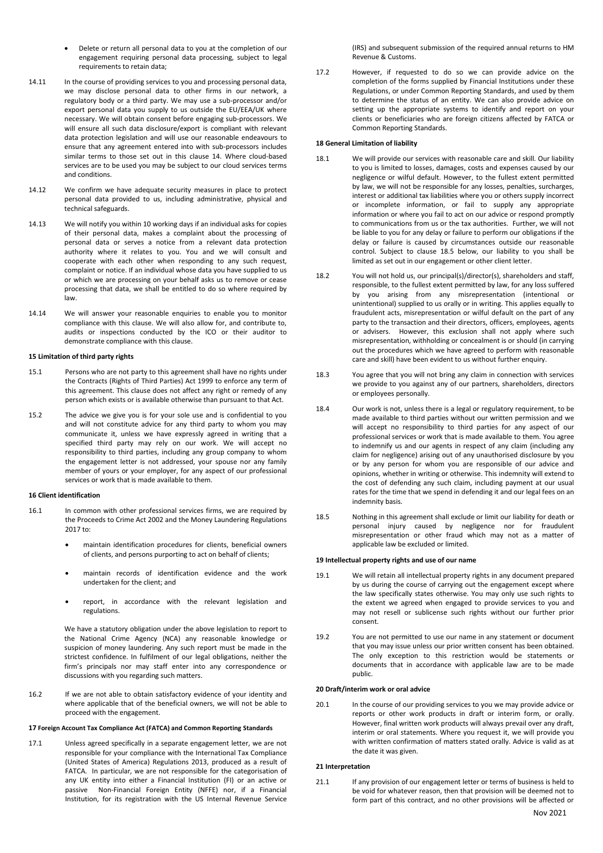- Delete or return all personal data to you at the completion of our engagement requiring personal data processing, subject to legal requirements to retain data;
- 14.11 In the course of providing services to you and processing personal data, we may disclose personal data to other firms in our network, a regulatory body or a third party. We may use a sub-processor and/or export personal data you supply to us outside the EU/EEA/UK where necessary. We will obtain consent before engaging sub-processors. We will ensure all such data disclosure/export is compliant with relevant data protection legislation and will use our reasonable endeavours to ensure that any agreement entered into with sub-processors includes similar terms to those set out in this clause 14. Where cloud-based services are to be used you may be subject to our cloud services terms and conditions.
- 14.12 We confirm we have adequate security measures in place to protect personal data provided to us, including administrative, physical and technical safeguards.
- 14.13 We will notify you within 10 working days if an individual asks for copies of their personal data, makes a complaint about the processing of personal data or serves a notice from a relevant data protection authority where it relates to you. You and we will consult and cooperate with each other when responding to any such request, complaint or notice. If an individual whose data you have supplied to us or which we are processing on your behalf asks us to remove or cease processing that data, we shall be entitled to do so where required by law.
- 14.14 We will answer your reasonable enquiries to enable you to monitor compliance with this clause. We will also allow for, and contribute to, audits or inspections conducted by the ICO or their auditor to demonstrate compliance with this clause.

### **15 Limitation of third party rights**

- 15.1 Persons who are not party to this agreement shall have no rights under the Contracts (Rights of Third Parties) Act 1999 to enforce any term of this agreement. This clause does not affect any right or remedy of any person which exists or is available otherwise than pursuant to that Act.
- 15.2 The advice we give you is for your sole use and is confidential to you and will not constitute advice for any third party to whom you may communicate it, unless we have expressly agreed in writing that a specified third party may rely on our work. We will accept no responsibility to third parties, including any group company to whom the engagement letter is not addressed, your spouse nor any family member of yours or your employer, for any aspect of our professional services or work that is made available to them.

#### **16 Client identification**

- 16.1 In common with other professional services firms, we are required by the Proceeds to Crime Act 2002 and the Money Laundering Regulations 2017 to:
	- maintain identification procedures for clients, beneficial owners of clients, and persons purporting to act on behalf of clients;
	- maintain records of identification evidence and the work undertaken for the client; and
	- report, in accordance with the relevant legislation and regulations.

We have a statutory obligation under the above legislation to report to the National Crime Agency (NCA) any reasonable knowledge or suspicion of money laundering. Any such report must be made in the strictest confidence. In fulfilment of our legal obligations, neither the firm's principals nor may staff enter into any correspondence or discussions with you regarding such matters.

16.2 If we are not able to obtain satisfactory evidence of your identity and where applicable that of the beneficial owners, we will not be able to proceed with the engagement.

### **17 Foreign Account Tax Compliance Act (FATCA) and Common Reporting Standards**

17.1 Unless agreed specifically in a separate engagement letter, we are not responsible for your compliance with the International Tax Compliance (United States of America) Regulations 2013, produced as a result of FATCA. In particular, we are not responsible for the categorisation of any UK entity into either a Financial Institution (FI) or an active or passive Non-Financial Foreign Entity (NFFE) nor, if a Financial Institution, for its registration with the US Internal Revenue Service

(IRS) and subsequent submission of the required annual returns to HM Revenue & Customs.

17.2 However, if requested to do so we can provide advice on the completion of the forms supplied by Financial Institutions under these Regulations, or under Common Reporting Standards, and used by them to determine the status of an entity. We can also provide advice on setting up the appropriate systems to identify and report on your clients or beneficiaries who are foreign citizens affected by FATCA or Common Reporting Standards.

### **18 General Limitation of liability**

- 18.1 We will provide our services with reasonable care and skill. Our liability to you is limited to losses, damages, costs and expenses caused by our negligence or wilful default. However, to the fullest extent permitted by law, we will not be responsible for any losses, penalties, surcharges, interest or additional tax liabilities where you or others supply incorrect or incomplete information, or fail to supply any appropriate information or where you fail to act on our advice or respond promptly to communications from us or the tax authorities. Further, we will not be liable to you for any delay or failure to perform our obligations if the delay or failure is caused by circumstances outside our reasonable control. Subject to clause 18.5 below, our liability to you shall be limited as set out in our engagement or other client letter.
- 18.2 You will not hold us, our principal(s)/director(s), shareholders and staff, responsible, to the fullest extent permitted by law, for any loss suffered by you arising from any misrepresentation (intentional or unintentional) supplied to us orally or in writing. This applies equally to fraudulent acts, misrepresentation or wilful default on the part of any party to the transaction and their directors, officers, employees, agents or advisers. However, this exclusion shall not apply where such misrepresentation, withholding or concealment is or should (in carrying out the procedures which we have agreed to perform with reasonable care and skill) have been evident to us without further enquiry.
- 18.3 You agree that you will not bring any claim in connection with services we provide to you against any of our partners, shareholders, directors or employees personally.
- 18.4 Our work is not, unless there is a legal or regulatory requirement, to be made available to third parties without our written permission and we will accept no responsibility to third parties for any aspect of our professional services or work that is made available to them. You agree to indemnify us and our agents in respect of any claim (including any claim for negligence) arising out of any unauthorised disclosure by you or by any person for whom you are responsible of our advice and opinions, whether in writing or otherwise. This indemnity will extend to the cost of defending any such claim, including payment at our usual rates for the time that we spend in defending it and our legal fees on an indemnity basis.
- 18.5 Nothing in this agreement shall exclude or limit our liability for death or personal injury caused by negligence nor for fraudulent misrepresentation or other fraud which may not as a matter of applicable law be excluded or limited.

### **19 Intellectual property rights and use of our name**

- 19.1 We will retain all intellectual property rights in any document prepared by us during the course of carrying out the engagement except where the law specifically states otherwise. You may only use such rights to the extent we agreed when engaged to provide services to you and may not resell or sublicense such rights without our further prior consent.
- 19.2 You are not permitted to use our name in any statement or document that you may issue unless our prior written consent has been obtained. The only exception to this restriction would be statements or documents that in accordance with applicable law are to be made public.

### **20 Draft/interim work or oral advice**

20.1 In the course of our providing services to you we may provide advice or reports or other work products in draft or interim form, or orally. However, final written work products will always prevail over any draft, interim or oral statements. Where you request it, we will provide you with written confirmation of matters stated orally. Advice is valid as at the date it was given.

#### **21 Interpretation**

21.1 If any provision of our engagement letter or terms of business is held to be void for whatever reason, then that provision will be deemed not to form part of this contract, and no other provisions will be affected or